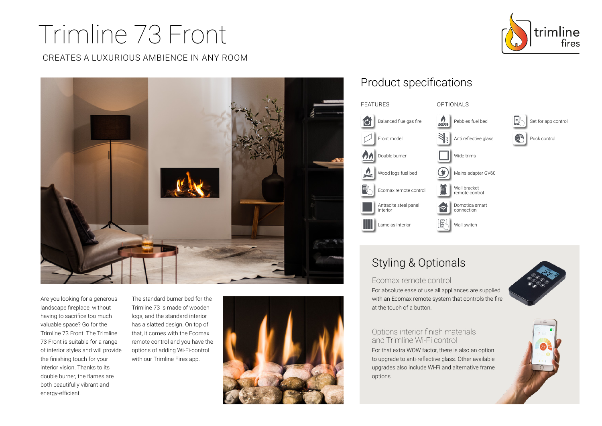# Trimline 73 Front

CREATES A LUXURIOUS AMBIENCE IN ANY ROOM





Are you looking for a generous landscape fireplace, without having to sacrifice too much valuable space? Go for the Trimline 73 Front. The Trimline 73 Front is suitable for a range of interior styles and will provide the finishing touch for your interior vision. Thanks to its double burner, the flames are both beautifully vibrant and energy-efficient.

The standard burner bed for the Trimline 73 is made of wooden logs, and the standard interior has a slatted design. On top of that, it comes with the Ecomax remote control and you have the options of adding Wi-Fi-control with our Trimline Fires app.



## Product specifications



# Styling & Optionals

#### Ecomax remote control

For absolute ease of use all appliances are supplied with an Ecomax remote system that controls the fire at the touch of a button.



#### Options interior finish materials and Trimline Wi-Fi control

For that extra WOW factor, there is also an option to upgrade to anti-reflective glass. Other available upgrades also include Wi-Fi and alternative frame options.